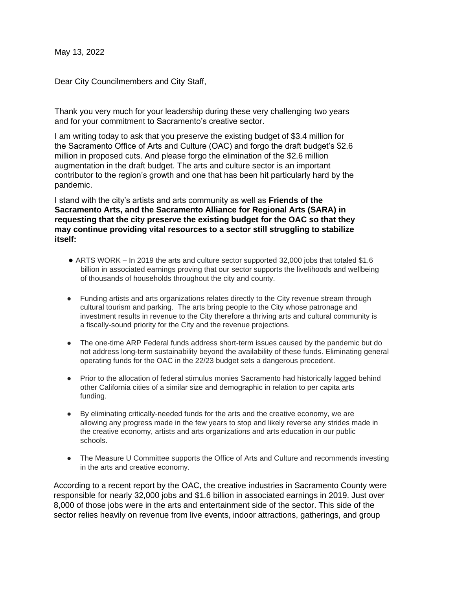May 13, 2022

Dear City Councilmembers and City Staff,

Thank you very much for your leadership during these very challenging two years and for your commitment to Sacramento's creative sector.

I am writing today to ask that you preserve the existing budget of \$3.4 million for the Sacramento Office of Arts and Culture (OAC) and forgo the draft budget's \$2.6 million in proposed cuts. And please forgo the elimination of the \$2.6 million augmentation in the draft budget. The arts and culture sector is an important contributor to the region's growth and one that has been hit particularly hard by the pandemic.

I stand with the city's artists and arts community as well as **Friends of the Sacramento Arts, and the Sacramento Alliance for Regional Arts (SARA) in requesting that the city preserve the existing budget for the OAC so that they may continue providing vital resources to a sector still struggling to stabilize itself:** 

- ARTS WORK In 2019 the arts and culture sector supported 32,000 jobs that totaled \$1.6 billion in associated earnings proving that our sector supports the livelihoods and wellbeing of thousands of households throughout the city and county.
- Funding artists and arts organizations relates directly to the City revenue stream through cultural tourism and parking. The arts bring people to the City whose patronage and investment results in revenue to the City therefore a thriving arts and cultural community is a fiscally-sound priority for the City and the revenue projections.
- The one-time ARP Federal funds address short-term issues caused by the pandemic but do not address long-term sustainability beyond the availability of these funds. Eliminating general operating funds for the OAC in the 22/23 budget sets a dangerous precedent.
- Prior to the allocation of federal stimulus monies Sacramento had historically lagged behind other California cities of a similar size and demographic in relation to per capita arts funding.
- By eliminating critically-needed funds for the arts and the creative economy, we are allowing any progress made in the few years to stop and likely reverse any strides made in the creative economy, artists and arts organizations and arts education in our public schools.
- The Measure U Committee supports the Office of Arts and Culture and recommends investing in the arts and creative economy.

According to a recent report by the OAC, the creative industries in Sacramento County were responsible for nearly 32,000 jobs and \$1.6 billion in associated earnings in 2019. Just over 8,000 of those jobs were in the arts and entertainment side of the sector. This side of the sector relies heavily on revenue from live events, indoor attractions, gatherings, and group